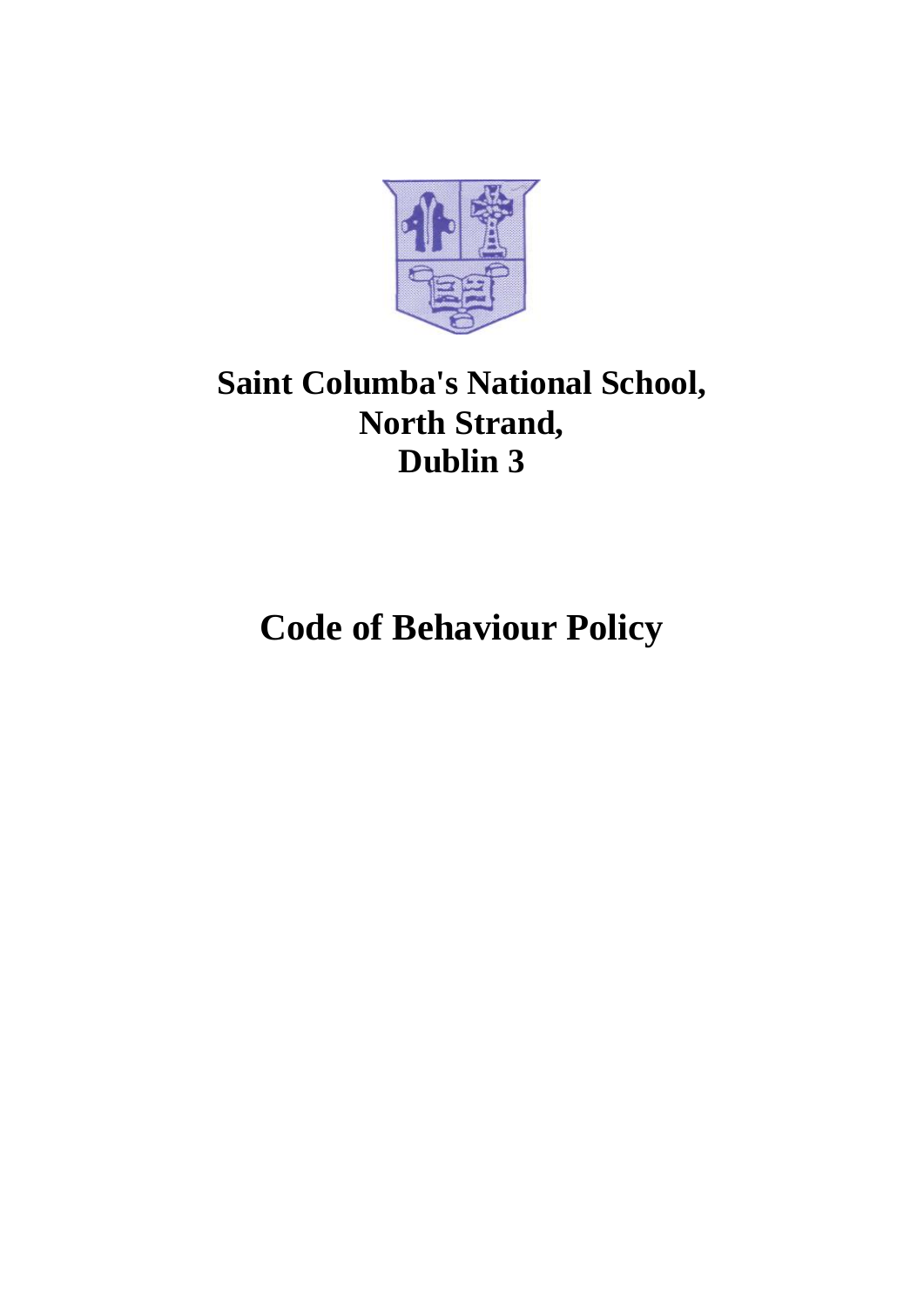

# **Saint Columba's National School, North Strand, Dublin 3**

**Code of Behaviour Policy**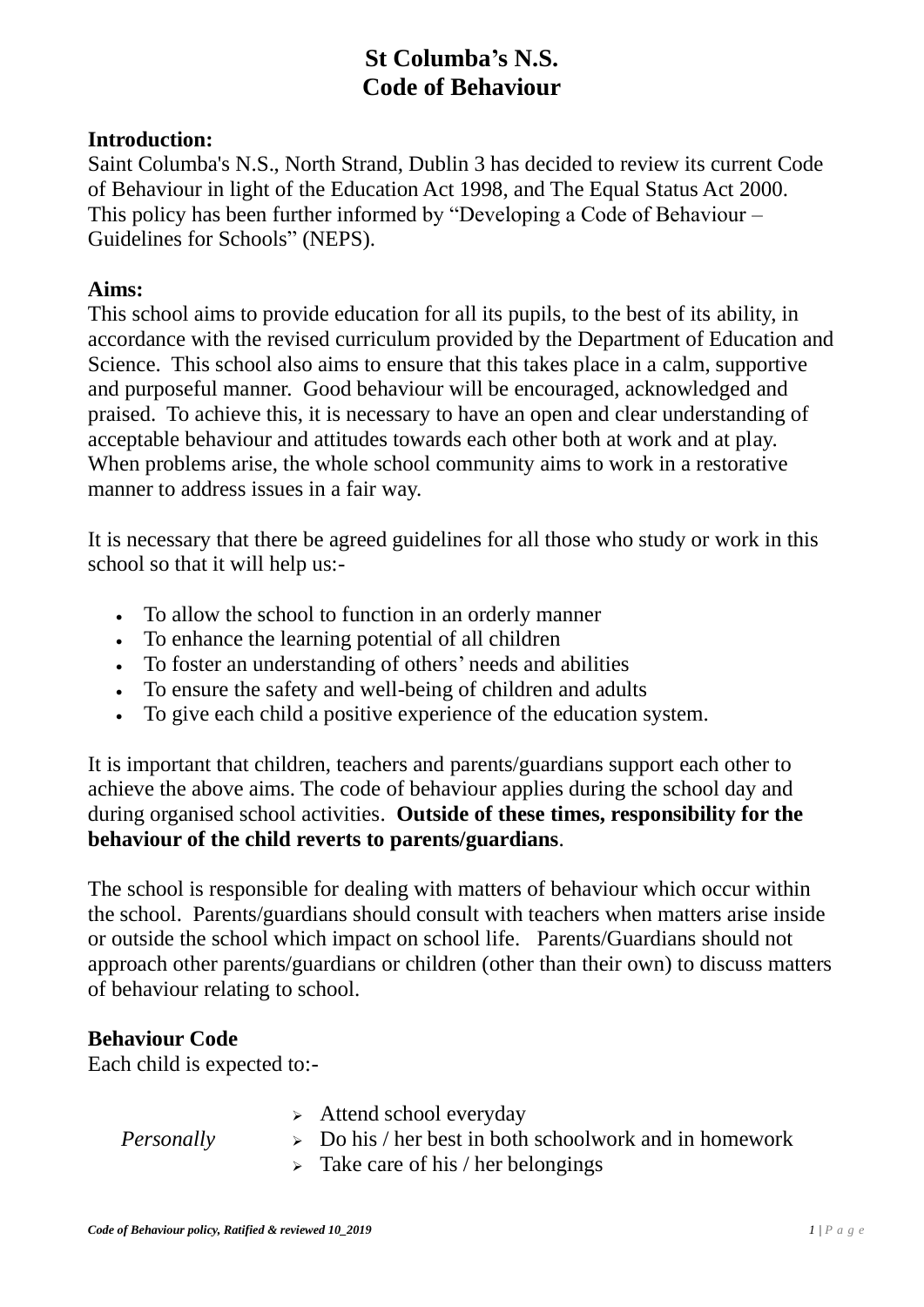# **St Columba's N.S. Code of Behaviour**

### **Introduction:**

Saint Columba's N.S., North Strand, Dublin 3 has decided to review its current Code of Behaviour in light of the Education Act 1998, and The Equal Status Act 2000. This policy has been further informed by "Developing a Code of Behaviour – Guidelines for Schools" (NEPS).

#### **Aims:**

This school aims to provide education for all its pupils, to the best of its ability, in accordance with the revised curriculum provided by the Department of Education and Science. This school also aims to ensure that this takes place in a calm, supportive and purposeful manner. Good behaviour will be encouraged, acknowledged and praised. To achieve this, it is necessary to have an open and clear understanding of acceptable behaviour and attitudes towards each other both at work and at play. When problems arise, the whole school community aims to work in a restorative manner to address issues in a fair way.

It is necessary that there be agreed guidelines for all those who study or work in this school so that it will help us:-

- To allow the school to function in an orderly manner
- To enhance the learning potential of all children
- To foster an understanding of others' needs and abilities
- To ensure the safety and well-being of children and adults
- To give each child a positive experience of the education system.

It is important that children, teachers and parents/guardians support each other to achieve the above aims. The code of behaviour applies during the school day and during organised school activities. **Outside of these times, responsibility for the behaviour of the child reverts to parents/guardians**.

The school is responsible for dealing with matters of behaviour which occur within the school. Parents/guardians should consult with teachers when matters arise inside or outside the school which impact on school life. Parents/Guardians should not approach other parents/guardians or children (other than their own) to discuss matters of behaviour relating to school.

### **Behaviour Code**

Each child is expected to:-

 $\triangleright$  Attend school everyday

*Personally*

- $\geq$  Do his / her best in both schoolwork and in homework
- $\triangleright$  Take care of his / her belongings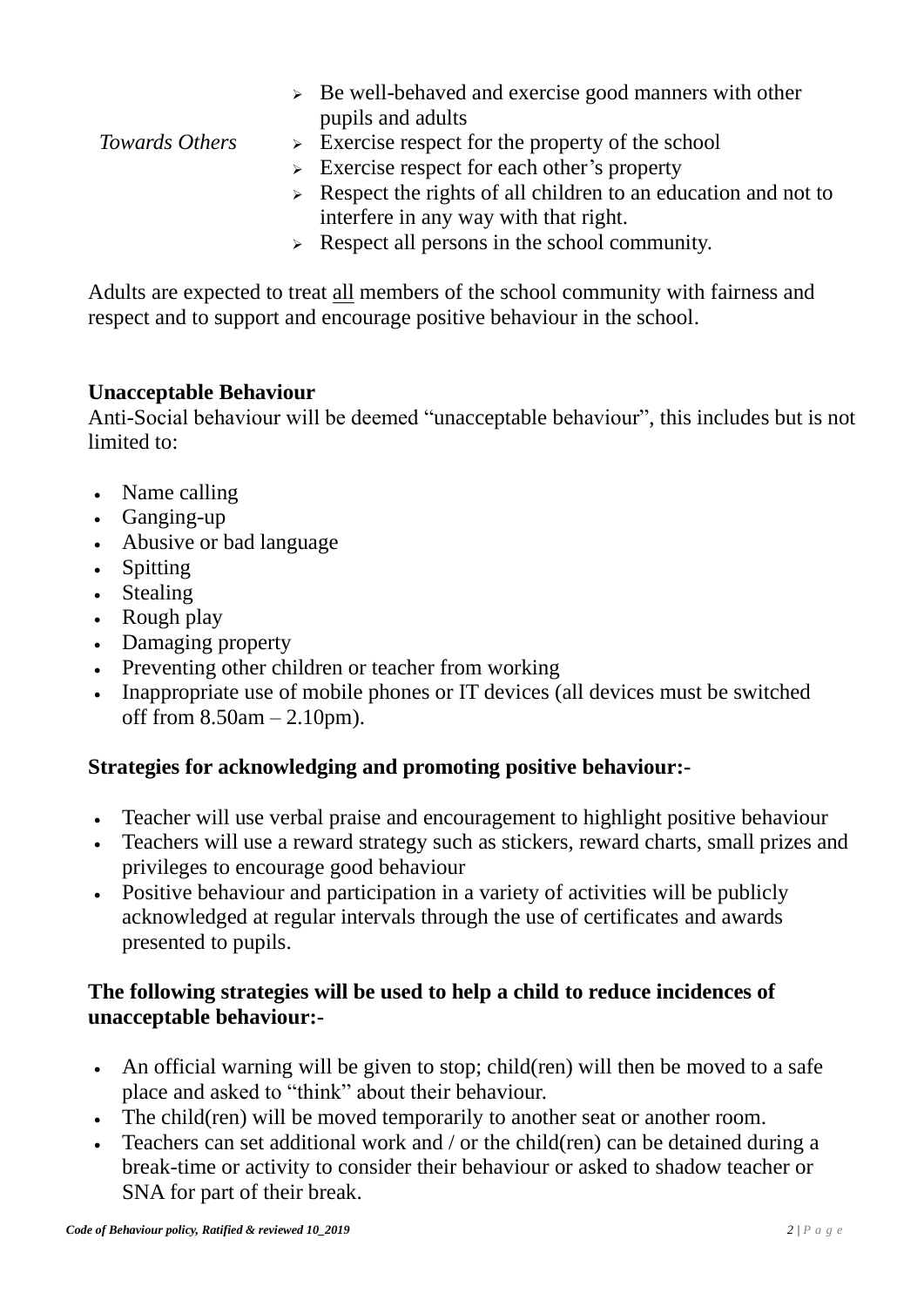|                | $\triangleright$ Be well-behaved and exercise good manners with other          |
|----------------|--------------------------------------------------------------------------------|
|                | pupils and adults                                                              |
| Towards Others | $\triangleright$ Exercise respect for the property of the school               |
|                | $\triangleright$ Exercise respect for each other's property                    |
|                | $\triangleright$ Respect the rights of all children to an education and not to |
|                | interfere in any way with that right.                                          |
|                |                                                                                |

 $\triangleright$  Respect all persons in the school community.

Adults are expected to treat all members of the school community with fairness and respect and to support and encourage positive behaviour in the school.

#### **Unacceptable Behaviour**

Anti-Social behaviour will be deemed "unacceptable behaviour", this includes but is not limited to:

- Name calling
- Ganging-up
- Abusive or bad language
- Spitting
- Stealing
- Rough play
- Damaging property
- Preventing other children or teacher from working
- Inappropriate use of mobile phones or IT devices (all devices must be switched off from  $8.50$ am  $- 2.10$ pm).

### **Strategies for acknowledging and promoting positive behaviour:-**

- Teacher will use verbal praise and encouragement to highlight positive behaviour
- Teachers will use a reward strategy such as stickers, reward charts, small prizes and privileges to encourage good behaviour
- Positive behaviour and participation in a variety of activities will be publicly acknowledged at regular intervals through the use of certificates and awards presented to pupils.

## **The following strategies will be used to help a child to reduce incidences of unacceptable behaviour:-**

- An official warning will be given to stop; child(ren) will then be moved to a safe place and asked to "think" about their behaviour.
- The child(ren) will be moved temporarily to another seat or another room.
- Teachers can set additional work and / or the child(ren) can be detained during a break-time or activity to consider their behaviour or asked to shadow teacher or SNA for part of their break.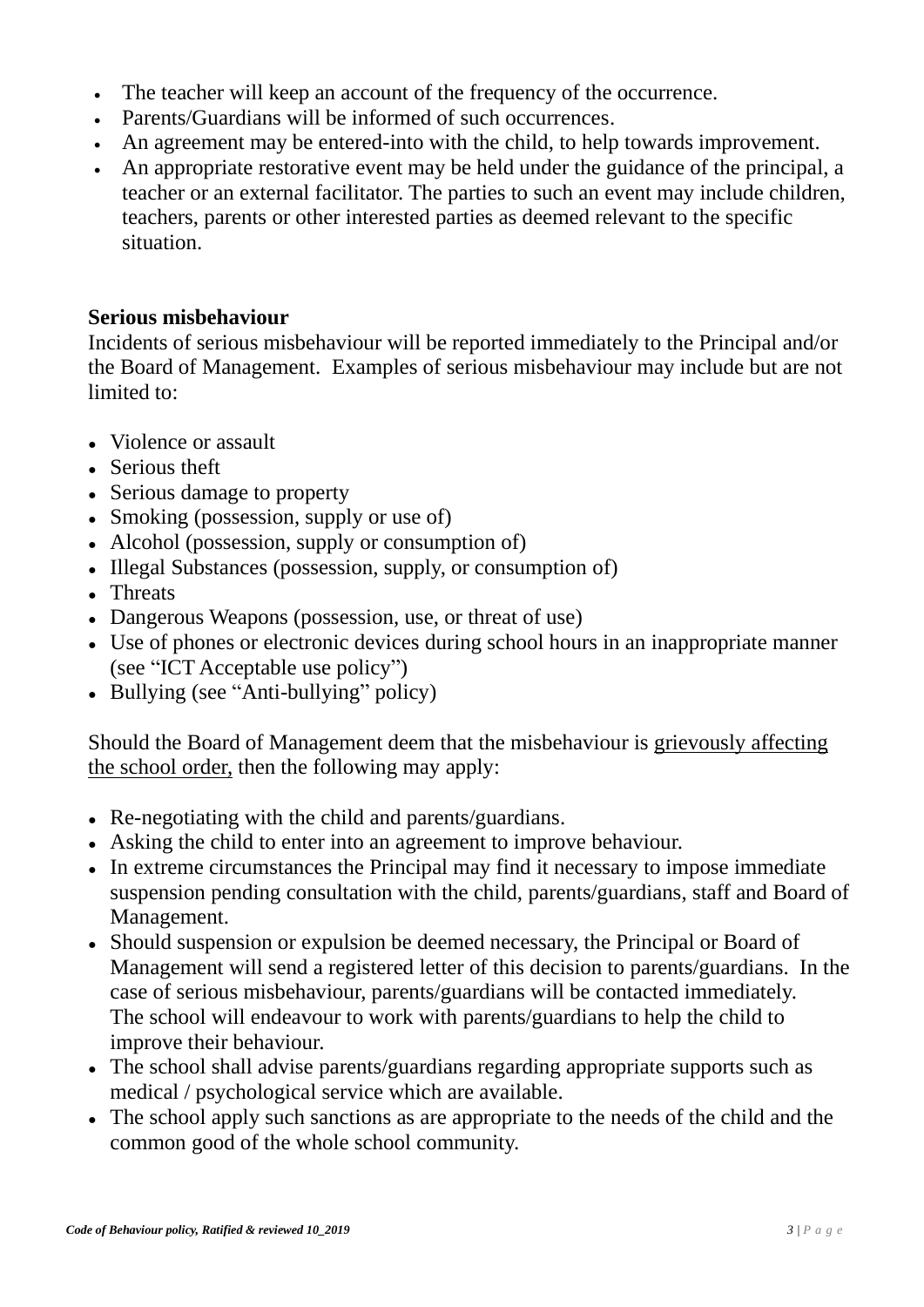- The teacher will keep an account of the frequency of the occurrence.
- Parents/Guardians will be informed of such occurrences.
- An agreement may be entered-into with the child, to help towards improvement.
- An appropriate restorative event may be held under the guidance of the principal, a teacher or an external facilitator. The parties to such an event may include children, teachers, parents or other interested parties as deemed relevant to the specific situation.

### **Serious misbehaviour**

Incidents of serious misbehaviour will be reported immediately to the Principal and/or the Board of Management. Examples of serious misbehaviour may include but are not limited to:

- Violence or assault
- Serious theft
- Serious damage to property
- Smoking (possession, supply or use of)
- Alcohol (possession, supply or consumption of)
- Illegal Substances (possession, supply, or consumption of)
- Threats
- Dangerous Weapons (possession, use, or threat of use)
- Use of phones or electronic devices during school hours in an inappropriate manner (see "ICT Acceptable use policy")
- Bullying (see "Anti-bullying" policy)

Should the Board of Management deem that the misbehaviour is grievously affecting the school order, then the following may apply:

- Re-negotiating with the child and parents/guardians.
- Asking the child to enter into an agreement to improve behaviour.
- In extreme circumstances the Principal may find it necessary to impose immediate suspension pending consultation with the child, parents/guardians, staff and Board of Management.
- Should suspension or expulsion be deemed necessary, the Principal or Board of Management will send a registered letter of this decision to parents/guardians. In the case of serious misbehaviour, parents/guardians will be contacted immediately. The school will endeavour to work with parents/guardians to help the child to improve their behaviour.
- The school shall advise parents/guardians regarding appropriate supports such as medical / psychological service which are available.
- The school apply such sanctions as are appropriate to the needs of the child and the common good of the whole school community.